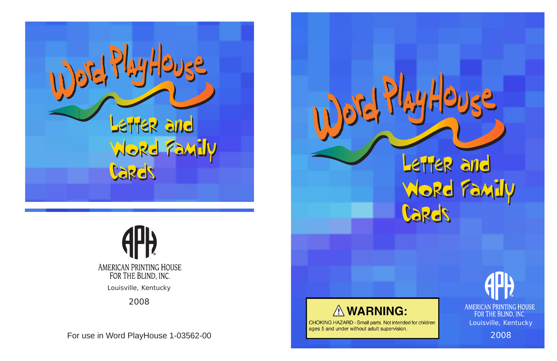For use in Word PlayHouse 1-03562-00





CHOKING HAZARD - Small parts. Not intended for children ages 5 and under without adult supervision.



2008

# AMERICAN PRINTING HOUSE FOR THE BLIND, INC. Louisville, Kentucky



Word Family Word Family Cards Cards

2008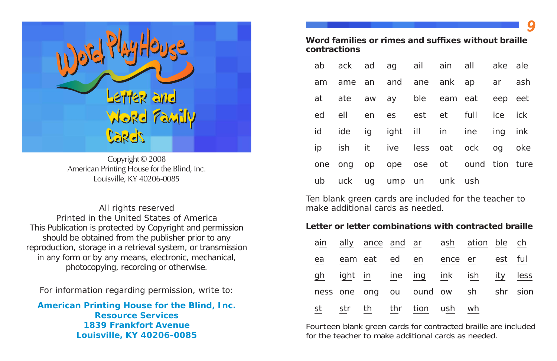All rights reserved Printed in the United States of America This Publication is protected by Copyright and permission should be obtained from the publisher prior to any reproduction, storage in a retrieval system, or transmission in any form or by any means, electronic, mechanical, photocopying, recording or otherwise.



Copyright © 2008 American Printing House for the Blind, Inc. Louisville, KY 40206-0085

## Word families or rimes and suffixes without braille **contractions**

For information regarding permission, write to:

**American Printing House for the Blind, Inc. Resource Services1839 Frankfort AvenueLouisville, KY 40206-0085**

|  |  |                          |  | ab ack ad ag ail ain all ake ale     |  |
|--|--|--------------------------|--|--------------------------------------|--|
|  |  |                          |  | am ame an and ane ank ap ar ash      |  |
|  |  |                          |  | at ate aw ay ble eam eat eep eet     |  |
|  |  |                          |  | ed ell en es est et full ice ick     |  |
|  |  |                          |  | id ide ig ight ill in ine ing ink    |  |
|  |  |                          |  | ip ish it ive less oat ock og oke    |  |
|  |  |                          |  | one ong op ope ose ot ound tion ture |  |
|  |  | ub uck ug ump un unk ush |  |                                      |  |

|    |  | ab ack ad ag ail ain all   |  |  |
|----|--|----------------------------|--|--|
|    |  | am ame an and ane ank ap   |  |  |
|    |  | at ate aw ay ble eam eat   |  |  |
|    |  | ed ell en es est et full   |  |  |
| id |  | ide ig ight ill in ine     |  |  |
|    |  | ip ish it ive less oat ock |  |  |
|    |  | one ong op ope ose ot our  |  |  |
|    |  | ub uck ug ump un unk ush   |  |  |

Ten blank green cards are included for the teacher to make additional cards as needed.

## **Letter or letter combinations with contracted braille**

|    |  |                            | ain ally ance and ar ash ation ble ch |          |  |
|----|--|----------------------------|---------------------------------------|----------|--|
| ea |  |                            | eam eat ed en ence er est ful         |          |  |
| gh |  |                            | ight in ine ing ink ish ity less      |          |  |
|    |  | ness one ong ou ound ow sh |                                       | shr sion |  |
|    |  | st str th thr tion ush wh  |                                       |          |  |

|    |  | ain ally ance and ar ash ati |       |
|----|--|------------------------------|-------|
| ea |  | eam eat ed en ence er        |       |
|    |  | gh ight in ine ing ink ish   |       |
|    |  | ness one ong ou ound ow      | sh sh |
|    |  | st str th thr tion ush       | wł    |

Fourteen blank green cards for contracted braille are included for the teacher to make additional cards as needed.

*9*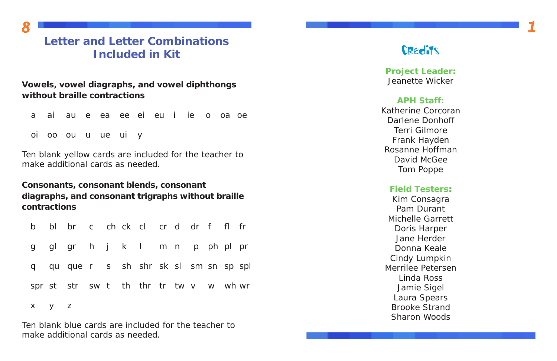# **Letter and Letter Combinations Included in Kit**

**Vowels, vowel diagraphs, and vowel diphthongs without braille contractions**

|  | a ai au e ea ee ei eu i ie o oa oe |  |  |  |  |  |
|--|------------------------------------|--|--|--|--|--|
|  | oi oo ou u ue ui y                 |  |  |  |  |  |

Ten blank yellow cards are included for the teacher to make additional cards as needed.

**Consonants, consonant blends, consonant diagraphs, and consonant trigraphs without braille contractions**

| b     | bl br c ch ck cl cr d dr f fl fr       |  |  |  |  |  |
|-------|----------------------------------------|--|--|--|--|--|
|       | g glgr h j k l m n p ph plpr           |  |  |  |  |  |
|       | q qu que r s sh shr sk sl sm sn sp spl |  |  |  |  |  |
|       | spr st str sw t th thr tr tw v w wh wr |  |  |  |  |  |
| x y z |                                        |  |  |  |  |  |

Ten blank blue cards are included for the teacher to make additional cards as needed.

*8*

**Project Leader:** Jeanette Wicker

## **APH Staff:**

Katherine CorcoranDarlene DonhoffTerri GilmoreFrank Hayden Rosanne Hoffman David McGee Tom Poppe

## **Field Testers:**

Kim Consagra Pam DurantMichelle GarrettDoris Harper Jane HerderDonna KealeCindy Lumpkin Merrilee PetersenLinda Ross Jamie Sigel Laura Spears Brooke Strand Sharon Woods



## **Credits**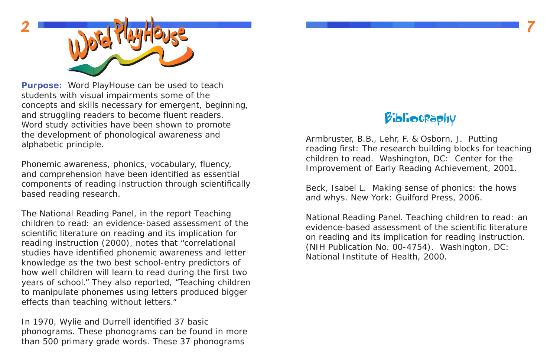**Purpose:** Word PlayHouse can be used to teach students with visual impairments some of the concepts and skills necessary for emergent, beginning, and struggling readers to become fluent readers. Word study activities have been shown to promote the development of phonological awareness and alphabetic principle.

Phonemic awareness, phonics, vocabulary, fluency, and comprehension have been identified as essential components of reading instruction through scientifically based reading research.

In 1970, Wylie and Durrell identified 37 basic phonograms. These phonograms can be found in more than 500 primary grade words. These 37 phonograms

The National Reading Panel, in the report *Teaching children to read: an evidence-based assessment of the* scientific literature on reading and its implication for *reading instruction* (2000), notes that "correlational studies have identified phonemic awareness and letter knowledge as the two best school-entry predictors of how well children will learn to read during the first two years of school." They also reported, "Teaching children to manipulate phonemes using letters produced bigger effects than teaching without letters."



Armbruster, B.B., Lehr, F. & Osborn, J. *Putting*  reading first: The research building blocks for teaching *children to read.* Washington, DC: Center for the Improvement of Early Reading Achievement, 2001.

Beck, Isabel L. *Making sense of phonics: the hows and whys*. New York: Guilford Press, 2006.

National Reading Panel. *Teaching children to read: an evidence-based assessment of the scientific literature on reading and its implication for reading instruction.*  (NIH Publication No. 00-4754). Washington, DC: National Institute of Health, 2000.

# **Bibliocraphy**

*7*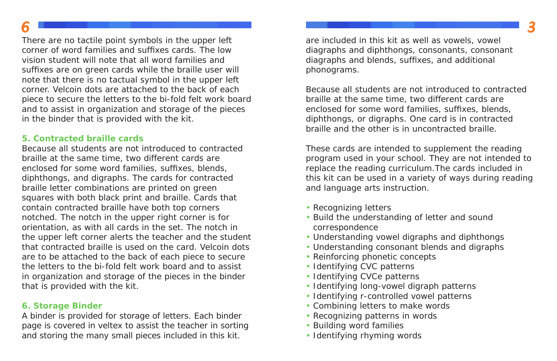There are no tactile point symbols in the upper left corner of word families and suffixes cards. The low vision student will note that all word families and suf fi xes are on green cards while the braille user will note that there is no tactual symbol in the upper left corner. Velcoin dots are attached to the back of each piece to secure the letters to the bi-fold felt work board and to assist in organization and storage of the pieces in the binder that is provided with the kit.

## **5. Contracted braille cards**

Because all students are not introduced to contracted braille at the same time, two different cards are enclosed for some word families, suf fi xes, blends, diphthongs, and digraphs. The cards for contracted braille letter combinations are printed on green squares with both black print and braille. Cards that contain contracted braille have both top corners notched. The notch in the upper right corner is for orientation, as with all cards in the set. The notch in the upper left corner alerts the teacher and the student that contracted braille is used on the card. Velcoin dots are to be attached to the back of each piece to secure the letters to the bi-fold felt work board and to assist in organization and storage of the pieces in the binder that is provided with the kit.

## **6. Storage Binder**

A binder is provided for storage of letters. Each binder page is covered in veltex to assist the teacher in sorting and storing the many small pieces included in this kit.

*6*

are included in this kit as well as vowels, vowel diagraphs and diphthongs, consonants, consonant diagraphs and blends, suffixes, and additional phonograms.

Because all students are not introduced to contracted braille at the same time, two different cards are enclosed for some word families, suf fi xes, blends, diphthongs, or digraphs. One card is in contracted braille and the other is in uncontracted braille.

These cards are intended to supplement the reading program used in your school. They are not intended to replace the reading curriculum.The cards included in this kit can be used in a variety of ways during reading and language arts instruction.

- Recognizing letters
- Build the understanding of letter and sound correspondence
- Understanding vowel digraphs and diphthongs
- Understanding consonant blends and digraphs
- Reinforcing phonetic concepts
- Identifying CVC patterns
- Identifying CVCe patterns
- Identifying long-vowel digraph patterns
- Identifying r-controlled vowel patterns
- Combining letters to make words
- Recognizing patterns in words
- Building word families
- Identifying rhyming words